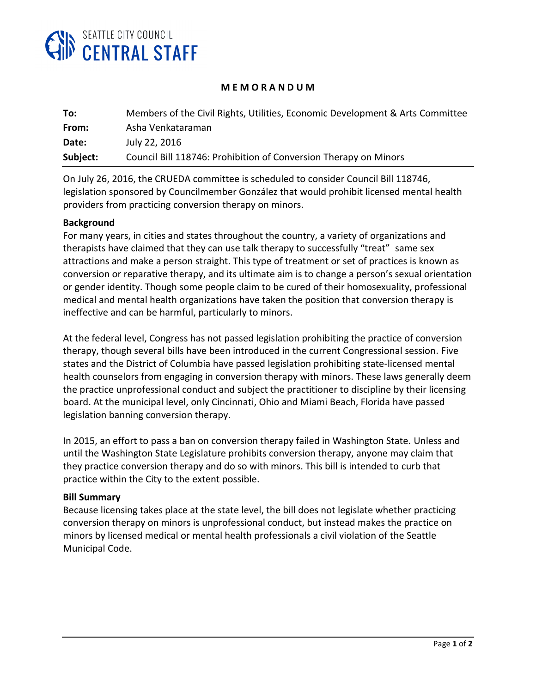

## **M E M O R A N D U M**

| To:      | Members of the Civil Rights, Utilities, Economic Development & Arts Committee |
|----------|-------------------------------------------------------------------------------|
| From:    | Asha Venkataraman                                                             |
| Date:    | July 22, 2016                                                                 |
| Subject: | Council Bill 118746: Prohibition of Conversion Therapy on Minors              |

On July 26, 2016, the CRUEDA committee is scheduled to consider Council Bill 118746, legislation sponsored by Councilmember González that would prohibit licensed mental health providers from practicing conversion therapy on minors.

## **Background**

For many years, in cities and states throughout the country, a variety of organizations and therapists have claimed that they can use talk therapy to successfully "treat" same sex attractions and make a person straight. This type of treatment or set of practices is known as conversion or reparative therapy, and its ultimate aim is to change a person's sexual orientation or gender identity. Though some people claim to be cured of their homosexuality, professional medical and mental health organizations have taken the position that conversion therapy is ineffective and can be harmful, particularly to minors.

At the federal level, Congress has not passed legislation prohibiting the practice of conversion therapy, though several bills have been introduced in the current Congressional session. Five states and the District of Columbia have passed legislation prohibiting state-licensed mental health counselors from engaging in conversion therapy with minors. These laws generally deem the practice unprofessional conduct and subject the practitioner to discipline by their licensing board. At the municipal level, only Cincinnati, Ohio and Miami Beach, Florida have passed legislation banning conversion therapy.

In 2015, an effort to pass a ban on conversion therapy failed in Washington State. Unless and until the Washington State Legislature prohibits conversion therapy, anyone may claim that they practice conversion therapy and do so with minors. This bill is intended to curb that practice within the City to the extent possible.

## **Bill Summary**

Because licensing takes place at the state level, the bill does not legislate whether practicing conversion therapy on minors is unprofessional conduct, but instead makes the practice on minors by licensed medical or mental health professionals a civil violation of the Seattle Municipal Code.